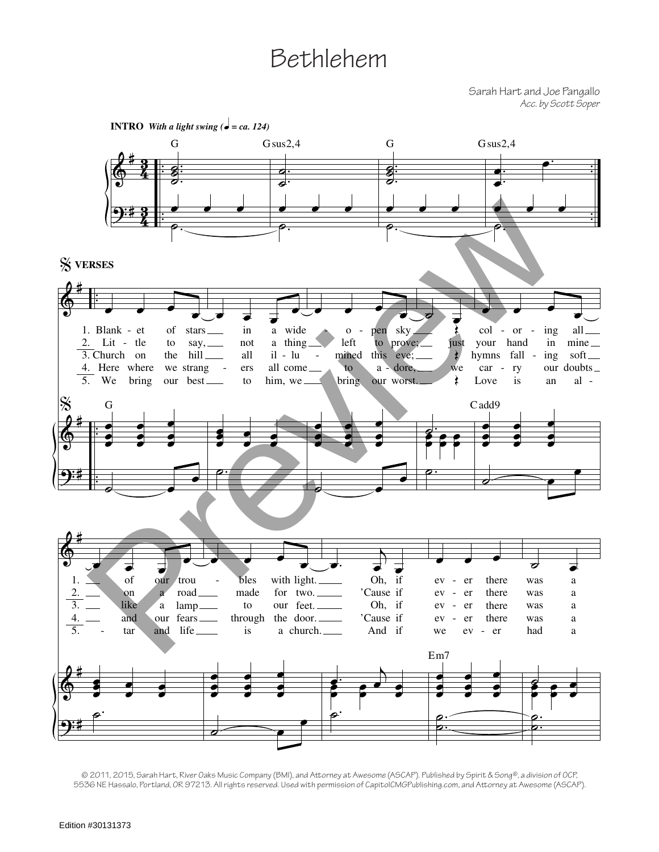## Bethlehem

Sarah Hart and Joe Pangallo *Acc. by Scott Soper*



<sup>© 2011, 2015,</sup> Sarah Hart, River Oaks Music Company (BMI), and Attorney at Awesome (ASCAP). Published by Spirit & Song®, a division of OCP, 5536 NE Hassalo, Portland, OR 97213. All rights reserved. Used with permission of CapitolCMGPublishing.com, and Attorney at Awesome (ASCAP).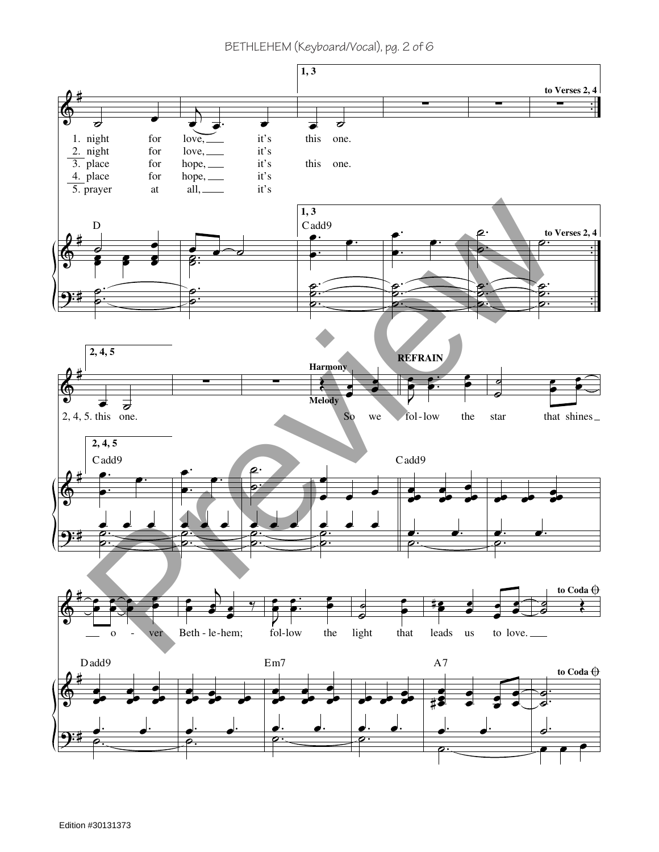BETHLEHEM (Keyboard/Vocal), pg. 2 of 6

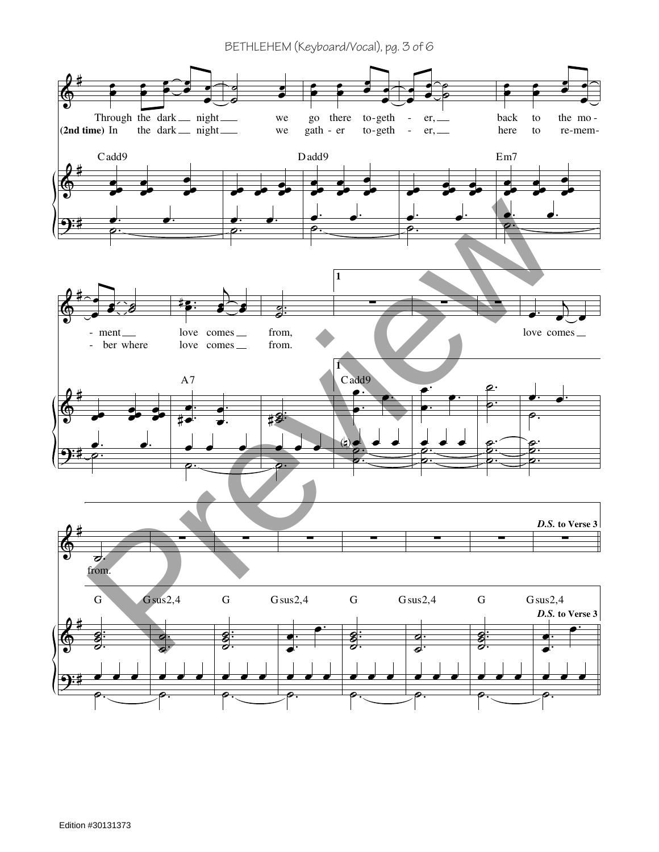BETHLEHEM (Keyboard/Vocal), pg. 3 of 6

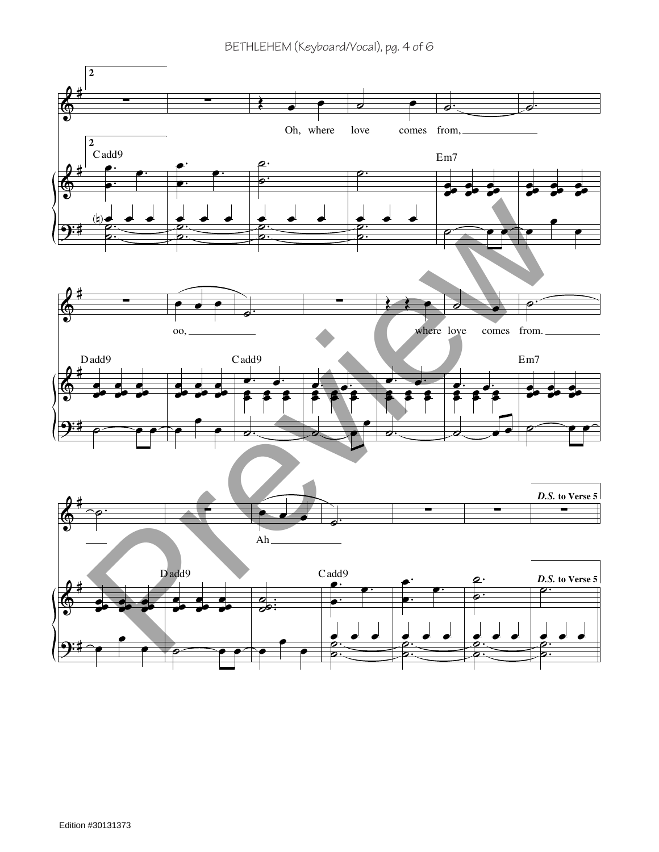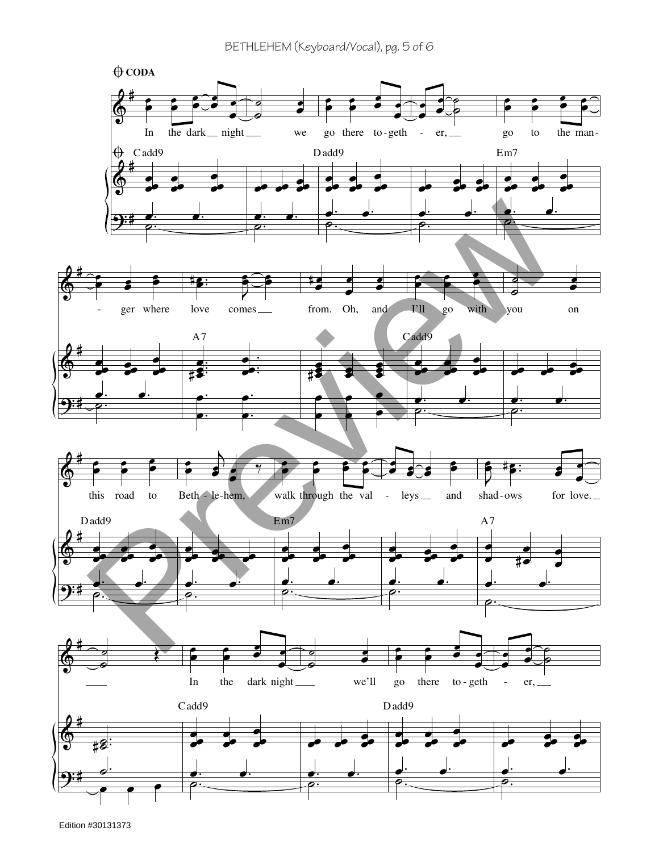

Edition #30131373